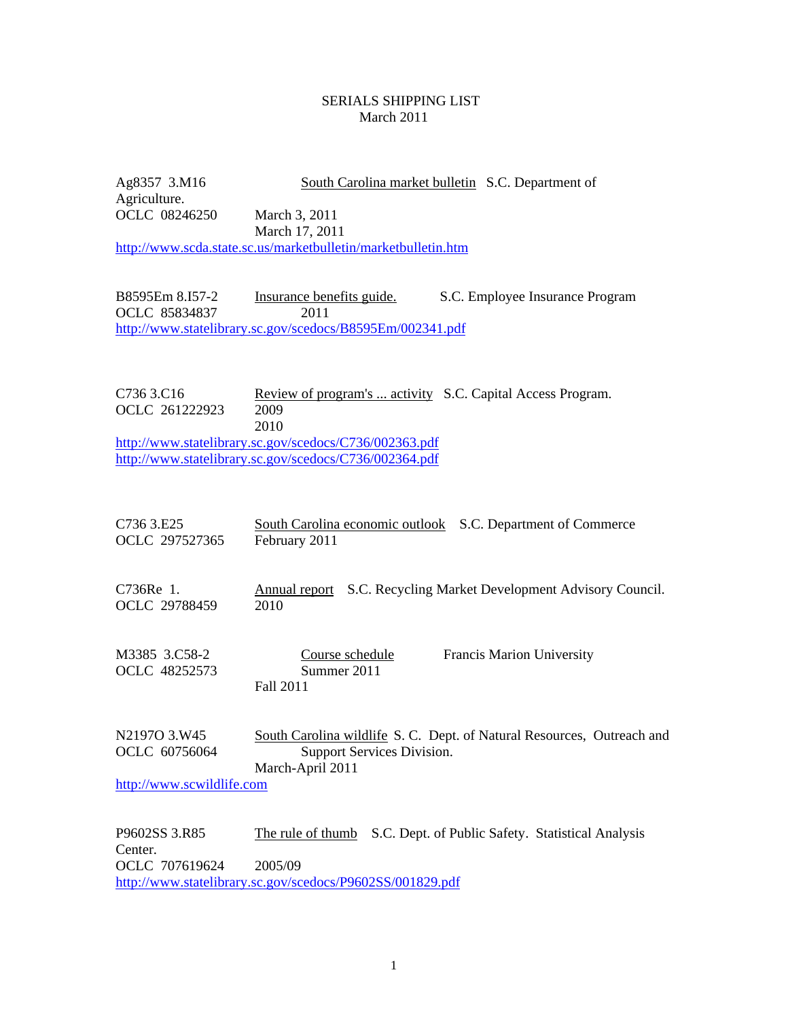## SERIALS SHIPPING LIST March 2011

Ag8357 3.M16 South Carolina market bulletin S.C. Department of Agriculture. OCLC 08246250 March 3, 2011 March 17, 2011 <http://www.scda.state.sc.us/marketbulletin/marketbulletin.htm>

B8595Em 8.I57-2 Insurance benefits guide. S.C. Employee Insurance Program OCLC 85834837 2011 <http://www.statelibrary.sc.gov/scedocs/B8595Em/002341.pdf>

C736 3.C16 Review of program's ... activity S.C. Capital Access Program. OCLC 261222923 2009 2010 <http://www.statelibrary.sc.gov/scedocs/C736/002363.pdf>

<http://www.statelibrary.sc.gov/scedocs/C736/002364.pdf>

| C736 3.E25<br>OCLC 297527365                               | South Carolina economic outlook S.C. Department of Commerce<br>February 2011                                                                   |
|------------------------------------------------------------|------------------------------------------------------------------------------------------------------------------------------------------------|
| C736Re 1.<br>OCLC 29788459                                 | S.C. Recycling Market Development Advisory Council.<br>Annual report<br>2010                                                                   |
| M3385 3.C58-2<br>OCLC 48252573                             | Francis Marion University<br>Course schedule<br>Summer 2011<br>Fall 2011                                                                       |
| N2197O 3.W45<br>OCLC 60756064<br>http://www.scwildlife.com | South Carolina wildlife S. C. Dept. of Natural Resources, Outreach and<br>Support Services Division.<br>March-April 2011                       |
| P9602SS 3.R85<br>Center.<br>OCLC 707619624                 | S.C. Dept. of Public Safety. Statistical Analysis<br>The rule of thumb<br>2005/09<br>http://www.statelibrary.sc.gov/scedocs/P9602SS/001829.pdf |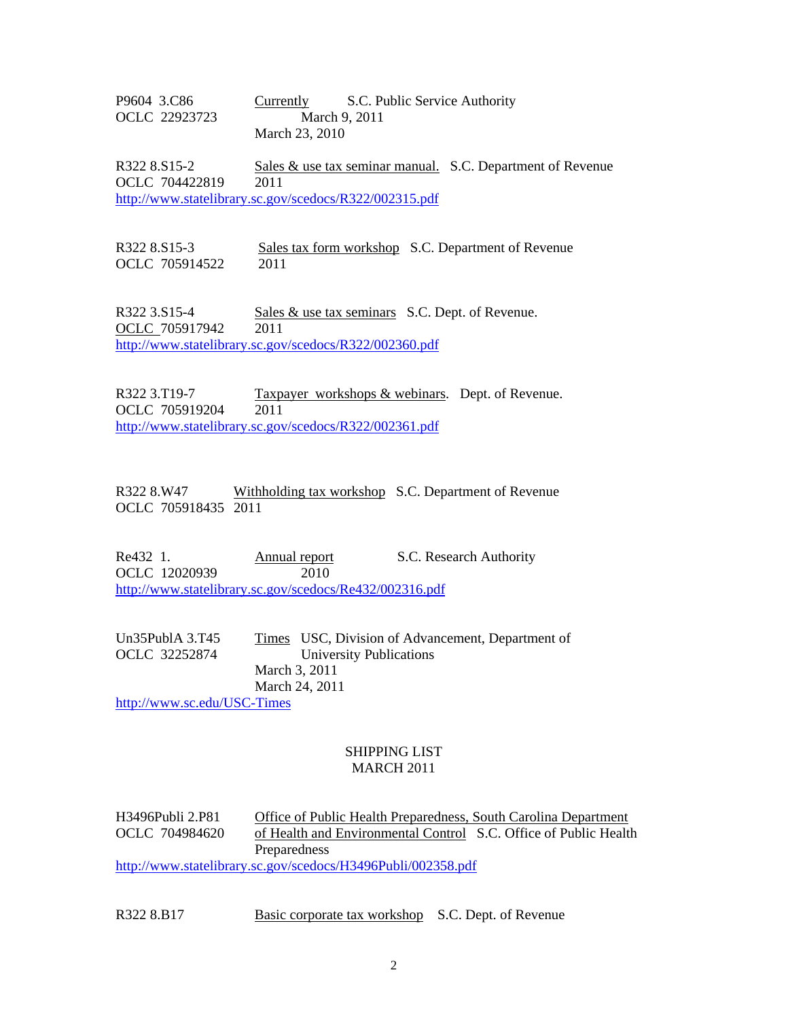P9604 3.C86 Currently S.C. Public Service Authority OCLC 22923723 March 9, 2011 March 23, 2010

R322 8.S15-2 Sales & use tax seminar manual. S.C. Department of Revenue OCLC 704422819 2011 <http://www.statelibrary.sc.gov/scedocs/R322/002315.pdf>

R322 8.S15-3 Sales tax form workshop S.C. Department of Revenue OCLC 705914522 2011

R322 3.S15-4 Sales & use tax seminars S.C. Dept. of Revenue. OCLC 705917942 2011 <http://www.statelibrary.sc.gov/scedocs/R322/002360.pdf>

R322 3.T19-7 Taxpayer workshops & webinars. Dept. of Revenue. OCLC 705919204 2011 <http://www.statelibrary.sc.gov/scedocs/R322/002361.pdf>

R322 8.W47 Withholding tax workshop S.C. Department of Revenue OCLC 705918435 2011

Re432 1. Annual report S.C. Research Authority OCLC 12020939 2010 <http://www.statelibrary.sc.gov/scedocs/Re432/002316.pdf>

Un35PublA 3.T45 Times USC, Division of Advancement, Department of OCLC 32252874 University Publications March 3, 2011 March 24, 2011

<http://www.sc.edu/USC-Times>

## SHIPPING LIST MARCH 2011

H3496Publi 2.P81 Office of Public Health Preparedness, South Carolina Department OCLC 704984620 of Health and Environmental Control S.C. Office of Public Health Preparedness <http://www.statelibrary.sc.gov/scedocs/H3496Publi/002358.pdf>

R322 8.B17 Basic corporate tax workshop S.C. Dept. of Revenue